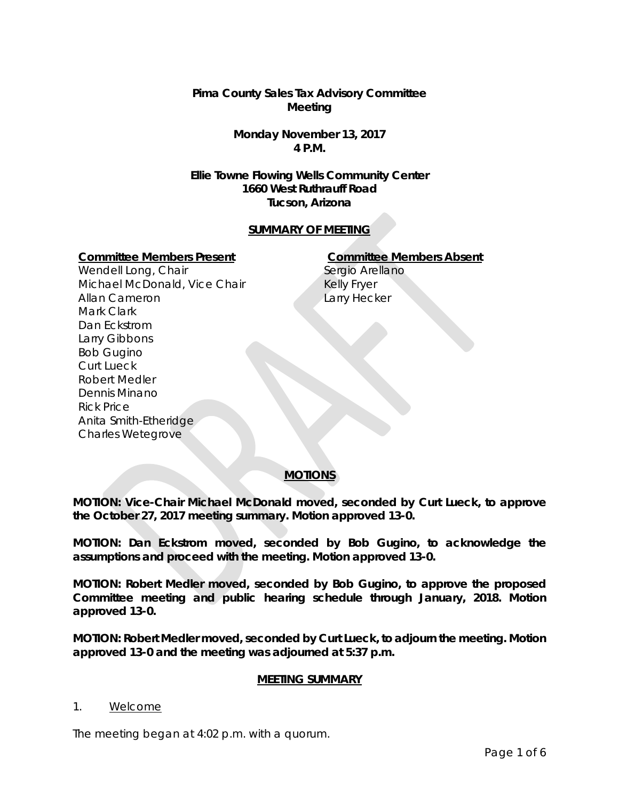**Pima County Sales Tax Advisory Committee Meeting**

> **Monday November 13, 2017 4 P.M.**

**Ellie Towne Flowing Wells Community Center 1660 West Ruthrauff Road Tucson, Arizona**

## **SUMMARY OF MEETING**

#### **Committee Members Present Committee Members Absent**

Wendell Long, Chair Michael McDonald, Vice Chair Allan Cameron Mark Clark Dan Eckstrom Larry Gibbons Bob Gugino Curt Lueck Robert Medler Dennis Minano Rick Price Anita Smith-Etheridge Charles Wetegrove

Sergio Arellano Kelly Fryer Larry Hecker

# **MOTIONS**

**MOTION: Vice-Chair Michael McDonald moved, seconded by Curt Lueck, to approve the October 27, 2017 meeting summary. Motion approved 13-0.**

**MOTION: Dan Eckstrom moved, seconded by Bob Gugino, to acknowledge the assumptions and proceed with the meeting. Motion approved 13-0.**

**MOTION: Robert Medler moved, seconded by Bob Gugino, to approve the proposed Committee meeting and public hearing schedule through January, 2018. Motion approved 13-0.** 

**MOTION: Robert Medler moved, seconded by Curt Lueck, to adjourn the meeting. Motion approved 13-0 and the meeting was adjourned at 5:37 p.m.**

## **MEETING SUMMARY**

#### 1. Welcome

The meeting began at 4:02 p.m. with a quorum.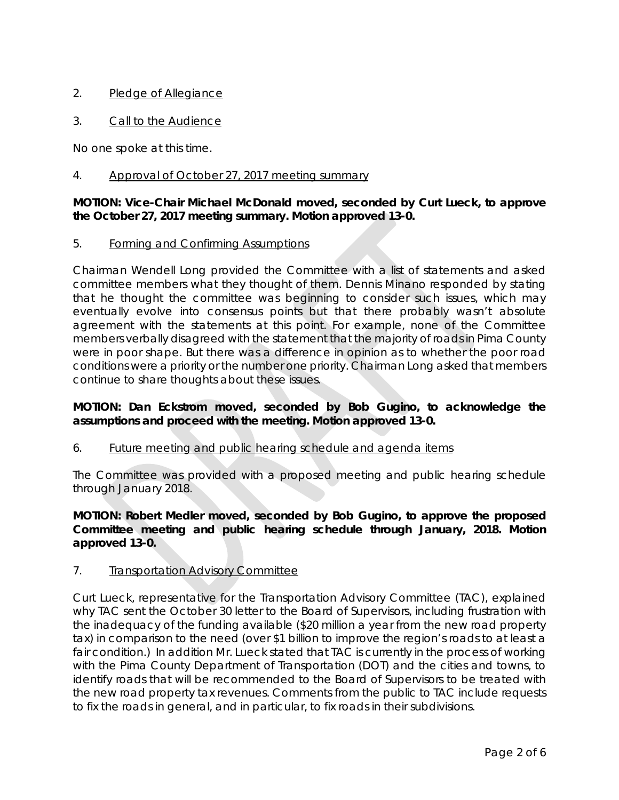# 2. Pledge of Allegiance

3. Call to the Audience

No one spoke at this time.

## 4. Approval of October 27, 2017 meeting summary

## **MOTION: Vice-Chair Michael McDonald moved, seconded by Curt Lueck, to approve the October 27, 2017 meeting summary. Motion approved 13-0.**

#### 5. Forming and Confirming Assumptions

Chairman Wendell Long provided the Committee with a list of statements and asked committee members what they thought of them. Dennis Minano responded by stating that he thought the committee was beginning to consider such issues, which may eventually evolve into consensus points but that there probably wasn't absolute agreement with the statements at this point. For example, none of the Committee members verbally disagreed with the statement that the majority of roads in Pima County were in poor shape. But there was a difference in opinion as to whether the poor road conditions were a priority or the number one priority. Chairman Long asked that members continue to share thoughts about these issues.

## **MOTION: Dan Eckstrom moved, seconded by Bob Gugino, to acknowledge the assumptions and proceed with the meeting. Motion approved 13-0.**

## 6. Future meeting and public hearing schedule and agenda items

The Committee was provided with a proposed meeting and public hearing schedule through January 2018.

**MOTION: Robert Medler moved, seconded by Bob Gugino, to approve the proposed Committee meeting and public hearing schedule through January, 2018. Motion approved 13-0.** 

## 7. Transportation Advisory Committee

Curt Lueck, representative for the Transportation Advisory Committee (TAC), explained why TAC sent the October 30 letter to the Board of Supervisors, including frustration with the inadequacy of the funding available (\$20 million a year from the new road property tax) in comparison to the need (over \$1 billion to improve the region's roads to at least a fair condition.) In addition Mr. Lueck stated that TAC is currently in the process of working with the Pima County Department of Transportation (DOT) and the cities and towns, to identify roads that will be recommended to the Board of Supervisors to be treated with the new road property tax revenues. Comments from the public to TAC include requests to fix the roads in general, and in particular, to fix roads in their subdivisions.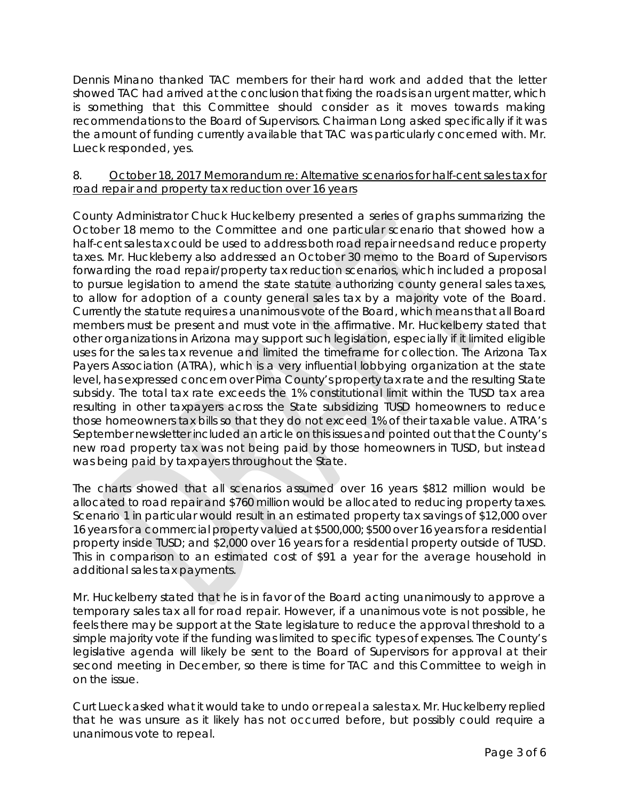Dennis Minano thanked TAC members for their hard work and added that the letter showed TAC had arrived at the conclusion that fixing the roads is an urgent matter, which is something that this Committee should consider as it moves towards making recommendations to the Board of Supervisors. Chairman Long asked specifically if it was the amount of funding currently available that TAC was particularly concerned with. Mr. Lueck responded, yes.

## 8. October 18, 2017 Memorandum re: Alternative scenarios for half-cent sales tax for road repair and property tax reduction over 16 years

County Administrator Chuck Huckelberry presented a series of graphs summarizing the October 18 memo to the Committee and one particular scenario that showed how a half-cent sales tax could be used to address both road repair needs and reduce property taxes. Mr. Huckleberry also addressed an October 30 memo to the Board of Supervisors forwarding the road repair/property tax reduction scenarios, which included a proposal to pursue legislation to amend the state statute authorizing county general sales taxes, to allow for adoption of a county general sales tax by a majority vote of the Board. Currently the statute requires a unanimous vote of the Board, which means that all Board members must be present and must vote in the affirmative. Mr. Huckelberry stated that other organizations in Arizona may support such legislation, especially if it limited eligible uses for the sales tax revenue and limited the timeframe for collection. The Arizona Tax Payers Association (ATRA), which is a very influential lobbying organization at the state level, has expressed concern over Pima County's property tax rate and the resulting State subsidy. The total tax rate exceeds the 1% constitutional limit within the TUSD tax area resulting in other taxpayers across the State subsidizing TUSD homeowners to reduce those homeowners tax bills so that they do not exceed 1% of their taxable value. ATRA's September newsletter included an article on this issues and pointed out that the County's new road property tax was not being paid by those homeowners in TUSD, but instead was being paid by taxpayers throughout the State.

The charts showed that all scenarios assumed over 16 years \$812 million would be allocated to road repair and \$760 million would be allocated to reducing property taxes. Scenario 1 in particular would result in an estimated property tax savings of \$12,000 over 16 years for a commercial property valued at \$500,000; \$500 over 16 years for a residential property inside TUSD; and \$2,000 over 16 years for a residential property outside of TUSD. This in comparison to an estimated cost of \$91 a year for the average household in additional sales tax payments.

Mr. Huckelberry stated that he is in favor of the Board acting unanimously to approve a temporary sales tax all for road repair. However, if a unanimous vote is not possible, he feels there may be support at the State legislature to reduce the approval threshold to a simple majority vote if the funding was limited to specific types of expenses. The County's legislative agenda will likely be sent to the Board of Supervisors for approval at their second meeting in December, so there is time for TAC and this Committee to weigh in on the issue.

Curt Lueck asked what it would take to undo or repeal a sales tax. Mr. Huckelberry replied that he was unsure as it likely has not occurred before, but possibly could require a unanimous vote to repeal.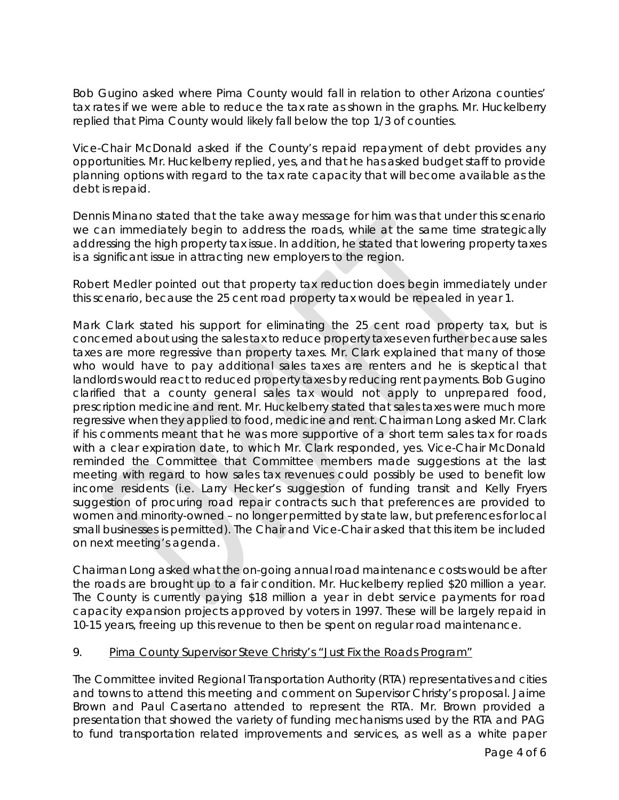Bob Gugino asked where Pima County would fall in relation to other Arizona counties' tax rates if we were able to reduce the tax rate as shown in the graphs. Mr. Huckelberry replied that Pima County would likely fall below the top 1/3 of counties.

Vice-Chair McDonald asked if the County's repaid repayment of debt provides any opportunities. Mr. Huckelberry replied, yes, and that he has asked budget staff to provide planning options with regard to the tax rate capacity that will become available as the debt is repaid.

Dennis Minano stated that the take away message for him was that under this scenario we can immediately begin to address the roads, while at the same time strategically addressing the high property tax issue. In addition, he stated that lowering property taxes is a significant issue in attracting new employers to the region.

Robert Medler pointed out that property tax reduction does begin immediately under this scenario, because the 25 cent road property tax would be repealed in year 1.

Mark Clark stated his support for eliminating the 25 cent road property tax, but is concerned about using the sales tax to reduce property taxes even further because sales taxes are more regressive than property taxes. Mr. Clark explained that many of those who would have to pay additional sales taxes are renters and he is skeptical that landlords would react to reduced property taxes by reducing rent payments. Bob Gugino clarified that a county general sales tax would not apply to unprepared food, prescription medicine and rent. Mr. Huckelberry stated that sales taxes were much more regressive when they applied to food, medicine and rent. Chairman Long asked Mr. Clark if his comments meant that he was more supportive of a short term sales tax for roads with a clear expiration date, to which Mr. Clark responded, yes. Vice-Chair McDonald reminded the Committee that Committee members made suggestions at the last meeting with regard to how sales tax revenues could possibly be used to benefit low income residents (i.e. Larry Hecker's suggestion of funding transit and Kelly Fryers suggestion of procuring road repair contracts such that preferences are provided to women and minority-owned – no longer permitted by state law, but preferences for local small businesses is permitted). The Chair and Vice-Chair asked that this item be included on next meeting's agenda.

Chairman Long asked what the on-going annual road maintenance costs would be after the roads are brought up to a fair condition. Mr. Huckelberry replied \$20 million a year. The County is currently paying \$18 million a year in debt service payments for road capacity expansion projects approved by voters in 1997. These will be largely repaid in 10-15 years, freeing up this revenue to then be spent on regular road maintenance.

## 9. Pima County Supervisor Steve Christy's "Just Fix the Roads Program"

The Committee invited Regional Transportation Authority (RTA) representatives and cities and towns to attend this meeting and comment on Supervisor Christy's proposal. Jaime Brown and Paul Casertano attended to represent the RTA. Mr. Brown provided a presentation that showed the variety of funding mechanisms used by the RTA and PAG to fund transportation related improvements and services, as well as a white paper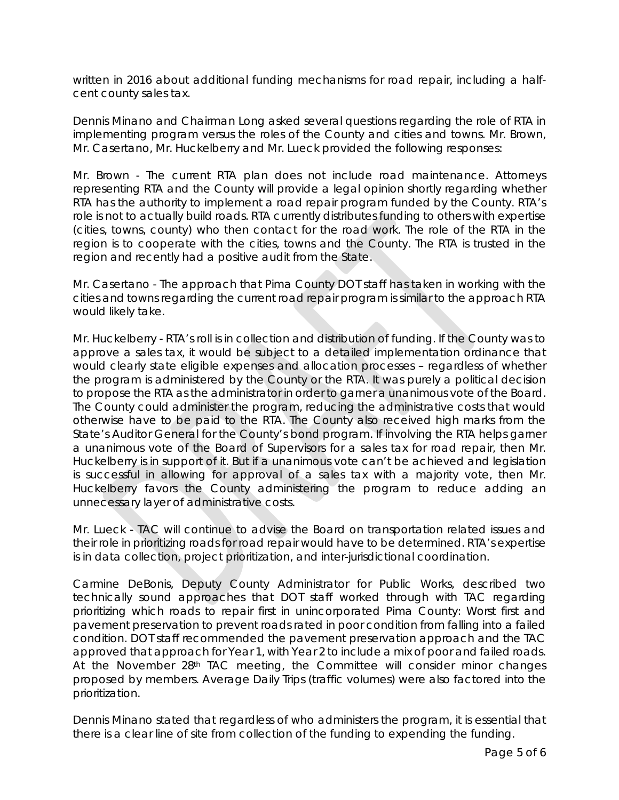written in 2016 about additional funding mechanisms for road repair, including a halfcent county sales tax.

Dennis Minano and Chairman Long asked several questions regarding the role of RTA in implementing program versus the roles of the County and cities and towns. Mr. Brown, Mr. Casertano, Mr. Huckelberry and Mr. Lueck provided the following responses:

Mr. Brown - The current RTA plan does not include road maintenance. Attorneys representing RTA and the County will provide a legal opinion shortly regarding whether RTA has the authority to implement a road repair program funded by the County. RTA's role is not to actually build roads. RTA currently distributes funding to others with expertise (cities, towns, county) who then contact for the road work. The role of the RTA in the region is to cooperate with the cities, towns and the County. The RTA is trusted in the region and recently had a positive audit from the State.

Mr. Casertano - The approach that Pima County DOT staff has taken in working with the cities and towns regarding the current road repair program is similar to the approach RTA would likely take.

Mr. Huckelberry - RTA's roll is in collection and distribution of funding. If the County was to approve a sales tax, it would be subject to a detailed implementation ordinance that would clearly state eligible expenses and allocation processes – regardless of whether the program is administered by the County or the RTA. It was purely a political decision to propose the RTA as the administrator in order to garner a unanimous vote of the Board. The County could administer the program, reducing the administrative costs that would otherwise have to be paid to the RTA. The County also received high marks from the State's Auditor General for the County's bond program. If involving the RTA helps garner a unanimous vote of the Board of Supervisors for a sales tax for road repair, then Mr. Huckelberry is in support of it. But if a unanimous vote can't be achieved and legislation is successful in allowing for approval of a sales tax with a majority vote, then Mr. Huckelberry favors the County administering the program to reduce adding an unnecessary layer of administrative costs.

Mr. Lueck - TAC will continue to advise the Board on transportation related issues and their role in prioritizing roads for road repair would have to be determined. RTA's expertise is in data collection, project prioritization, and inter-jurisdictional coordination.

Carmine DeBonis, Deputy County Administrator for Public Works, described two technically sound approaches that DOT staff worked through with TAC regarding prioritizing which roads to repair first in unincorporated Pima County: Worst first and pavement preservation to prevent roads rated in poor condition from falling into a failed condition. DOT staff recommended the pavement preservation approach and the TAC approved that approach for Year 1, with Year 2 to include a mix of poor and failed roads. At the November 28<sup>th</sup> TAC meeting, the Committee will consider minor changes proposed by members. Average Daily Trips (traffic volumes) were also factored into the prioritization.

Dennis Minano stated that regardless of who administers the program, it is essential that there is a clear line of site from collection of the funding to expending the funding.